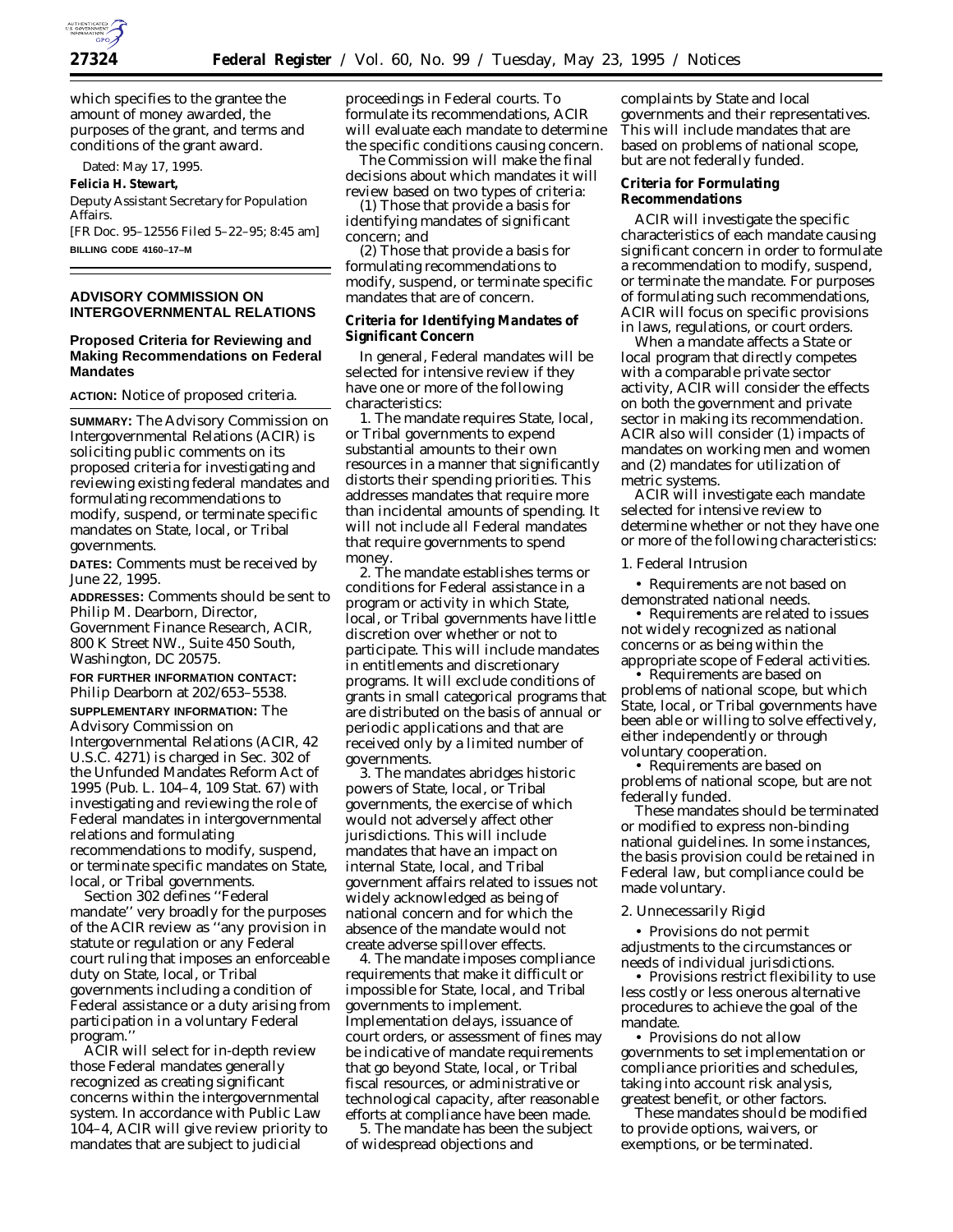

which specifies to the grantee the amount of money awarded, the purposes of the grant, and terms and conditions of the grant award.

Dated: May 17, 1995.

**Felicia H. Stewart,**

*Deputy Assistant Secretary for Population Affairs.*

[FR Doc. 95–12556 Filed 5–22–95; 8:45 am] **BILLING CODE 4160–17–M**

# **ADVISORY COMMISSION ON INTERGOVERNMENTAL RELATIONS**

# **Proposed Criteria for Reviewing and Making Recommendations on Federal Mandates**

**ACTION:** Notice of proposed criteria.

**SUMMARY:** The Advisory Commission on Intergovernmental Relations (ACIR) is soliciting public comments on its proposed criteria for investigating and reviewing existing federal mandates and formulating recommendations to modify, suspend, or terminate specific mandates on State, local, or Tribal governments.

**DATES:** Comments must be received by June 22, 1995.

**ADDRESSES:** Comments should be sent to Philip M. Dearborn, Director, Government Finance Research, ACIR, 800 K Street NW., Suite 450 South, Washington, DC 20575.

**FOR FURTHER INFORMATION CONTACT:** Philip Dearborn at 202/653–5538.

**SUPPLEMENTARY INFORMATION:** The Advisory Commission on Intergovernmental Relations (ACIR, 42 U.S.C. 4271) is charged in Sec. 302 of the Unfunded Mandates Reform Act of 1995 (Pub. L. 104–4, 109 Stat. 67) with investigating and reviewing the role of Federal mandates in intergovernmental relations and formulating recommendations to modify, suspend, or terminate specific mandates on State, local, or Tribal governments.

Section 302 defines ''Federal mandate'' very broadly for the purposes of the ACIR review as ''any provision in statute or regulation or any Federal court ruling that imposes an enforceable duty on State, local, or Tribal governments including a condition of Federal assistance or a duty arising from participation in a voluntary Federal program.''

ACIR will select for in-depth review those Federal mandates generally recognized as creating significant concerns within the intergovernmental system. In accordance with Public Law 104–4, ACIR will give review priority to mandates that are subject to judicial

proceedings in Federal courts. To formulate its recommendations, ACIR will evaluate each mandate to determine the specific conditions causing concern.

The Commission will make the final decisions about which mandates it will review based on two types of criteria:

(1) Those that provide a basis for identifying mandates of significant concern; and

(2) Those that provide a basis for formulating recommendations to modify, suspend, or terminate specific mandates that are of concern.

# **Criteria for Identifying Mandates of Significant Concern**

In general, Federal mandates will be selected for intensive review if they have one or more of the following characteristics:

1. The mandate requires State, local, or Tribal governments to expend substantial amounts to their own resources in a manner that significantly distorts their spending priorities. This addresses mandates that require more than incidental amounts of spending. It will not include all Federal mandates that require governments to spend money.

2. The mandate establishes terms or conditions for Federal assistance in a program or activity in which State, local, or Tribal governments have little discretion over whether or not to participate. This will include mandates in entitlements and discretionary programs. It will exclude conditions of grants in small categorical programs that are distributed on the basis of annual or periodic applications and that are received only by a limited number of governments.

3. The mandates abridges historic powers of State, local, or Tribal governments, the exercise of which would not adversely affect other jurisdictions. This will include mandates that have an impact on internal State, local, and Tribal government affairs related to issues not widely acknowledged as being of national concern and for which the absence of the mandate would not create adverse spillover effects.

4. The mandate imposes compliance requirements that make it difficult or impossible for State, local, and Tribal governments to implement. Implementation delays, issuance of court orders, or assessment of fines may be indicative of mandate requirements that go beyond State, local, or Tribal fiscal resources, or administrative or technological capacity, after reasonable efforts at compliance have been made.

5. The mandate has been the subject of widespread objections and

complaints by State and local governments and their representatives. This will include mandates that are based on problems of national scope, but are not federally funded.

# **Criteria for Formulating Recommendations**

ACIR will investigate the specific characteristics of each mandate causing significant concern in order to formulate a recommendation to modify, suspend, or terminate the mandate. For purposes of formulating such recommendations, ACIR will focus on specific provisions in laws, regulations, or court orders.

When a mandate affects a State or local program that directly competes with a comparable private sector activity, ACIR will consider the effects on both the government and private sector in making its recommendation. ACIR also will consider (1) impacts of mandates on working men and women and (2) mandates for utilization of metric systems.

ACIR will investigate each mandate selected for intensive review to determine whether or not they have one or more of the following characteristics:

1. Federal Intrusion

• Requirements are not based on demonstrated national needs.

• Requirements are related to issues not widely recognized as national concerns or as being within the appropriate scope of Federal activities.

• Requirements are based on problems of national scope, but which State, local, or Tribal governments have been able or willing to solve effectively, either independently or through voluntary cooperation.

• Requirements are based on problems of national scope, but are not federally funded.

These mandates should be terminated or modified to express non-binding national guidelines. In some instances, the basis provision could be retained in Federal law, but compliance could be made voluntary.

#### 2. Unnecessarily Rigid

• Provisions do not permit adjustments to the circumstances or needs of individual jurisdictions.

• Provisions restrict flexibility to use less costly or less onerous alternative procedures to achieve the goal of the mandate.

• Provisions do not allow governments to set implementation or compliance priorities and schedules, taking into account risk analysis, greatest benefit, or other factors.

These mandates should be modified to provide options, waivers, or exemptions, or be terminated.